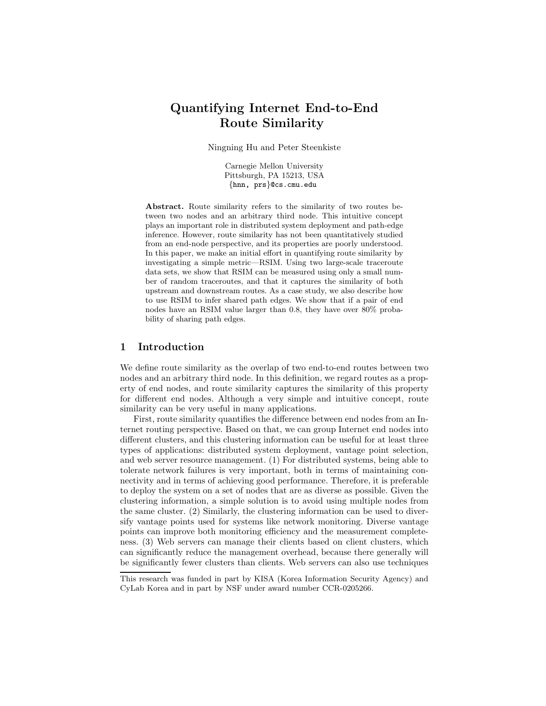# Quantifying Internet End-to-End Route Similarity

Ningning Hu and Peter Steenkiste

Carnegie Mellon University Pittsburgh, PA 15213, USA {hnn, prs}@cs.cmu.edu

Abstract. Route similarity refers to the similarity of two routes between two nodes and an arbitrary third node. This intuitive concept plays an important role in distributed system deployment and path-edge inference. However, route similarity has not been quantitatively studied from an end-node perspective, and its properties are poorly understood. In this paper, we make an initial effort in quantifying route similarity by investigating a simple metric—RSIM. Using two large-scale traceroute data sets, we show that RSIM can be measured using only a small number of random traceroutes, and that it captures the similarity of both upstream and downstream routes. As a case study, we also describe how to use RSIM to infer shared path edges. We show that if a pair of end nodes have an RSIM value larger than 0.8, they have over 80% probability of sharing path edges.

## 1 Introduction

We define route similarity as the overlap of two end-to-end routes between two nodes and an arbitrary third node. In this definition, we regard routes as a property of end nodes, and route similarity captures the similarity of this property for different end nodes. Although a very simple and intuitive concept, route similarity can be very useful in many applications.

First, route similarity quantifies the difference between end nodes from an Internet routing perspective. Based on that, we can group Internet end nodes into different clusters, and this clustering information can be useful for at least three types of applications: distributed system deployment, vantage point selection, and web server resource management. (1) For distributed systems, being able to tolerate network failures is very important, both in terms of maintaining connectivity and in terms of achieving good performance. Therefore, it is preferable to deploy the system on a set of nodes that are as diverse as possible. Given the clustering information, a simple solution is to avoid using multiple nodes from the same cluster. (2) Similarly, the clustering information can be used to diversify vantage points used for systems like network monitoring. Diverse vantage points can improve both monitoring efficiency and the measurement completeness. (3) Web servers can manage their clients based on client clusters, which can significantly reduce the management overhead, because there generally will be significantly fewer clusters than clients. Web servers can also use techniques

This research was funded in part by KISA (Korea Information Security Agency) and CyLab Korea and in part by NSF under award number CCR-0205266.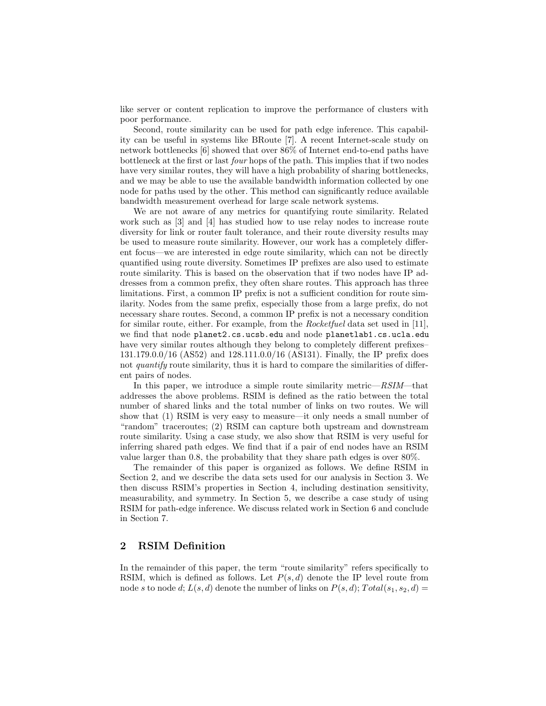like server or content replication to improve the performance of clusters with poor performance.

Second, route similarity can be used for path edge inference. This capability can be useful in systems like BRoute [7]. A recent Internet-scale study on network bottlenecks [6] showed that over 86% of Internet end-to-end paths have bottleneck at the first or last four hops of the path. This implies that if two nodes have very similar routes, they will have a high probability of sharing bottlenecks, and we may be able to use the available bandwidth information collected by one node for paths used by the other. This method can significantly reduce available bandwidth measurement overhead for large scale network systems.

We are not aware of any metrics for quantifying route similarity. Related work such as [3] and [4] has studied how to use relay nodes to increase route diversity for link or router fault tolerance, and their route diversity results may be used to measure route similarity. However, our work has a completely different focus—we are interested in edge route similarity, which can not be directly quantified using route diversity. Sometimes IP prefixes are also used to estimate route similarity. This is based on the observation that if two nodes have IP addresses from a common prefix, they often share routes. This approach has three limitations. First, a common IP prefix is not a sufficient condition for route similarity. Nodes from the same prefix, especially those from a large prefix, do not necessary share routes. Second, a common IP prefix is not a necessary condition for similar route, either. For example, from the Rocketfuel data set used in [11], we find that node planet2.cs.ucsb.edu and node planetlab1.cs.ucla.edu have very similar routes although they belong to completely different prefixes– 131.179.0.0/16 (AS52) and 128.111.0.0/16 (AS131). Finally, the IP prefix does not *quantify* route similarity, thus it is hard to compare the similarities of different pairs of nodes.

In this paper, we introduce a simple route similarity metric— $\overline{RSIM}$ —that addresses the above problems. RSIM is defined as the ratio between the total number of shared links and the total number of links on two routes. We will show that (1) RSIM is very easy to measure—it only needs a small number of "random" traceroutes; (2) RSIM can capture both upstream and downstream route similarity. Using a case study, we also show that RSIM is very useful for inferring shared path edges. We find that if a pair of end nodes have an RSIM value larger than 0.8, the probability that they share path edges is over 80%.

The remainder of this paper is organized as follows. We define RSIM in Section 2, and we describe the data sets used for our analysis in Section 3. We then discuss RSIM's properties in Section 4, including destination sensitivity, measurability, and symmetry. In Section 5, we describe a case study of using RSIM for path-edge inference. We discuss related work in Section 6 and conclude in Section 7.

## 2 RSIM Definition

In the remainder of this paper, the term "route similarity" refers specifically to RSIM, which is defined as follows. Let  $P(s, d)$  denote the IP level route from node s to node d;  $L(s, d)$  denote the number of links on  $P(s, d)$ ;  $Total(s_1, s_2, d)$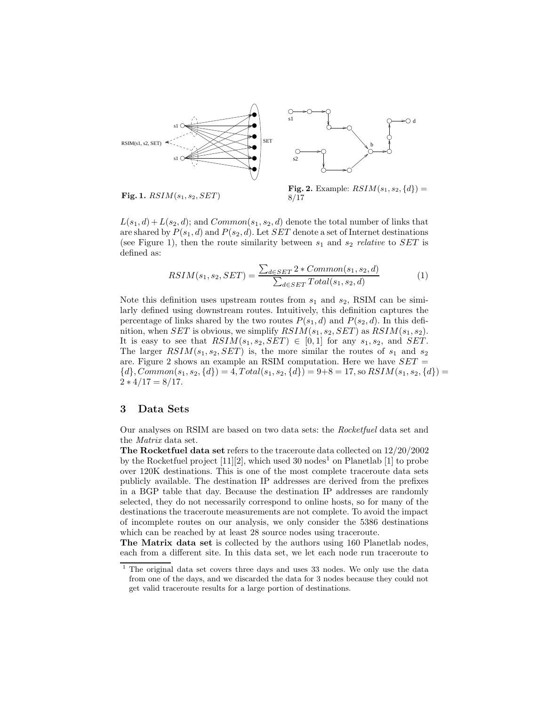

Fig. 1.  $RSIM(s_1, s_2, SET)$ 

Fig. 2. Example:  $RSIM(s_1, s_2, \lbrace d \rbrace) =$ 8/17

 $L(s_1, d) + L(s_2, d)$ ; and  $Common(s_1, s_2, d)$  denote the total number of links that are shared by  $P(s_1, d)$  and  $P(s_2, d)$ . Let SET denote a set of Internet destinations (see Figure 1), then the route similarity between  $s_1$  and  $s_2$  relative to SET is defined as:

$$
RSIM(s_1, s_2, SET) = \frac{\sum_{d \in SET} 2 * Common(s_1, s_2, d)}{\sum_{d \in SET} Total(s_1, s_2, d)}
$$
(1)

Note this definition uses upstream routes from  $s_1$  and  $s_2$ , RSIM can be similarly defined using downstream routes. Intuitively, this definition captures the percentage of links shared by the two routes  $P(s_1, d)$  and  $P(s_2, d)$ . In this definition, when SET is obvious, we simplify  $RSIM(s_1, s_2, SET)$  as  $RSIM(s_1, s_2)$ . It is easy to see that  $RSIM(s_1, s_2, SET) \in [0,1]$  for any  $s_1, s_2$ , and SET. The larger  $RSIM(s_1, s_2, SET)$  is, the more similar the routes of  $s_1$  and  $s_2$ are. Figure 2 shows an example an RSIM computation. Here we have  $SET =$  ${d}, Common(s_1, s_2, \{d\}) = 4, Total(s_1, s_2, \{d\}) = 9+8 = 17, so RSIM(s_1, s_2, \{d\}) =$  $2 * 4/17 = 8/17.$ 

#### 3 Data Sets

Our analyses on RSIM are based on two data sets: the Rocketfuel data set and the Matrix data set.

The Rocketfuel data set refers to the traceroute data collected on 12/20/2002 by the Rocketfuel project  $[11][2]$ , which used 30 nodes<sup>1</sup> on Planetlab  $[1]$  to probe over 120K destinations. This is one of the most complete traceroute data sets publicly available. The destination IP addresses are derived from the prefixes in a BGP table that day. Because the destination IP addresses are randomly selected, they do not necessarily correspond to online hosts, so for many of the destinations the traceroute measurements are not complete. To avoid the impact of incomplete routes on our analysis, we only consider the 5386 destinations which can be reached by at least 28 source nodes using traceroute.

The Matrix data set is collected by the authors using 160 Planetlab nodes, each from a different site. In this data set, we let each node run traceroute to

 $1$  The original data set covers three days and uses 33 nodes. We only use the data from one of the days, and we discarded the data for 3 nodes because they could not get valid traceroute results for a large portion of destinations.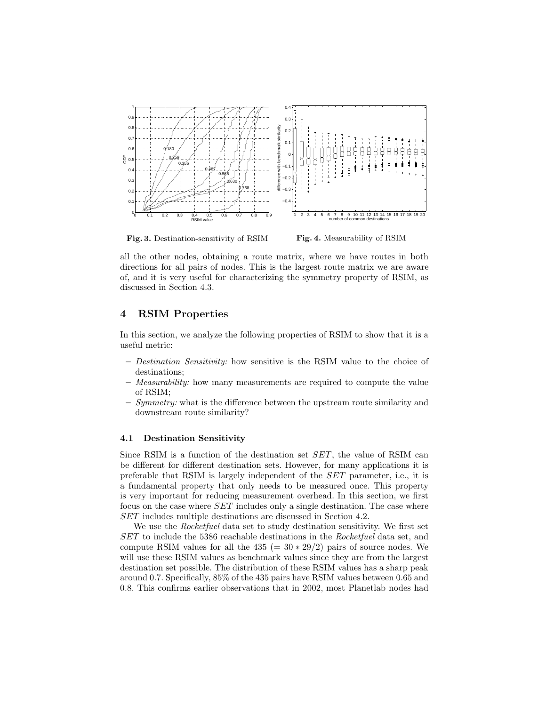

Fig. 3. Destination-sensitivity of RSIM

Fig. 4. Measurability of RSIM

all the other nodes, obtaining a route matrix, where we have routes in both directions for all pairs of nodes. This is the largest route matrix we are aware of, and it is very useful for characterizing the symmetry property of RSIM, as discussed in Section 4.3.

## 4 RSIM Properties

In this section, we analyze the following properties of RSIM to show that it is a useful metric:

- Destination Sensitivity: how sensitive is the RSIM value to the choice of destinations;
- Measurability: how many measurements are required to compute the value of RSIM;
- $-$  Symmetry: what is the difference between the upstream route similarity and downstream route similarity?

#### 4.1 Destination Sensitivity

Since RSIM is a function of the destination set SET , the value of RSIM can be different for different destination sets. However, for many applications it is preferable that RSIM is largely independent of the SET parameter, i.e., it is a fundamental property that only needs to be measured once. This property is very important for reducing measurement overhead. In this section, we first focus on the case where SET includes only a single destination. The case where SET includes multiple destinations are discussed in Section 4.2.

We use the Rocketfuel data set to study destination sensitivity. We first set SET to include the 5386 reachable destinations in the Rocketfuel data set, and compute RSIM values for all the  $435 (= 30 * 29/2)$  pairs of source nodes. We will use these RSIM values as benchmark values since they are from the largest destination set possible. The distribution of these RSIM values has a sharp peak around 0.7. Specifically, 85% of the 435 pairs have RSIM values between 0.65 and 0.8. This confirms earlier observations that in 2002, most Planetlab nodes had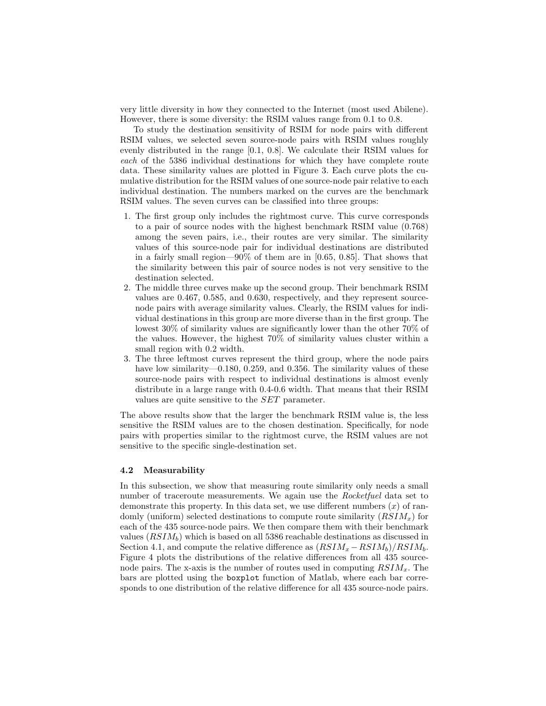very little diversity in how they connected to the Internet (most used Abilene). However, there is some diversity: the RSIM values range from 0.1 to 0.8.

To study the destination sensitivity of RSIM for node pairs with different RSIM values, we selected seven source-node pairs with RSIM values roughly evenly distributed in the range [0.1, 0.8]. We calculate their RSIM values for each of the 5386 individual destinations for which they have complete route data. These similarity values are plotted in Figure 3. Each curve plots the cumulative distribution for the RSIM values of one source-node pair relative to each individual destination. The numbers marked on the curves are the benchmark RSIM values. The seven curves can be classified into three groups:

- 1. The first group only includes the rightmost curve. This curve corresponds to a pair of source nodes with the highest benchmark RSIM value (0.768) among the seven pairs, i.e., their routes are very similar. The similarity values of this source-node pair for individual destinations are distributed in a fairly small region—90% of them are in [0.65, 0.85]. That shows that the similarity between this pair of source nodes is not very sensitive to the destination selected.
- 2. The middle three curves make up the second group. Their benchmark RSIM values are 0.467, 0.585, and 0.630, respectively, and they represent sourcenode pairs with average similarity values. Clearly, the RSIM values for individual destinations in this group are more diverse than in the first group. The lowest 30% of similarity values are significantly lower than the other 70% of the values. However, the highest 70% of similarity values cluster within a small region with 0.2 width.
- 3. The three leftmost curves represent the third group, where the node pairs have low similarity—0.180, 0.259, and 0.356. The similarity values of these source-node pairs with respect to individual destinations is almost evenly distribute in a large range with 0.4-0.6 width. That means that their RSIM values are quite sensitive to the SET parameter.

The above results show that the larger the benchmark RSIM value is, the less sensitive the RSIM values are to the chosen destination. Specifically, for node pairs with properties similar to the rightmost curve, the RSIM values are not sensitive to the specific single-destination set.

#### 4.2 Measurability

In this subsection, we show that measuring route similarity only needs a small number of traceroute measurements. We again use the *Rocketfuel* data set to demonstrate this property. In this data set, we use different numbers  $(x)$  of randomly (uniform) selected destinations to compute route similarity  $(RSIM<sub>x</sub>)$  for each of the 435 source-node pairs. We then compare them with their benchmark values  $(RSIM_b)$  which is based on all 5386 reachable destinations as discussed in Section 4.1, and compute the relative difference as  $(RSIM_x - RSIM_b)/RSIM_b$ . Figure 4 plots the distributions of the relative differences from all 435 sourcenode pairs. The x-axis is the number of routes used in computing  $RSIM_x$ . The bars are plotted using the boxplot function of Matlab, where each bar corresponds to one distribution of the relative difference for all 435 source-node pairs.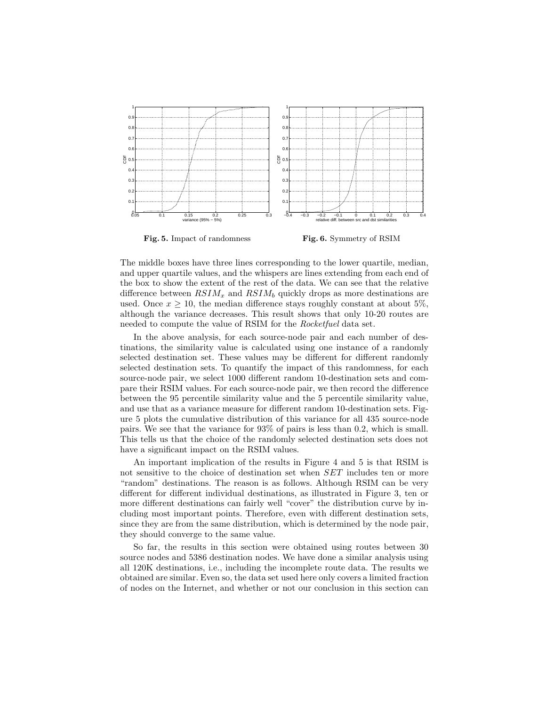

Fig. 5. Impact of randomness Fig. 6. Symmetry of RSIM

The middle boxes have three lines corresponding to the lower quartile, median, and upper quartile values, and the whispers are lines extending from each end of the box to show the extent of the rest of the data. We can see that the relative difference between  $RSIM_x$  and  $RSIM_b$  quickly drops as more destinations are used. Once  $x \ge 10$ , the median difference stays roughly constant at about 5%, although the variance decreases. This result shows that only 10-20 routes are needed to compute the value of RSIM for the *Rocketfuel* data set.

In the above analysis, for each source-node pair and each number of destinations, the similarity value is calculated using one instance of a randomly selected destination set. These values may be different for different randomly selected destination sets. To quantify the impact of this randomness, for each source-node pair, we select 1000 different random 10-destination sets and compare their RSIM values. For each source-node pair, we then record the difference between the 95 percentile similarity value and the 5 percentile similarity value, and use that as a variance measure for different random 10-destination sets. Figure 5 plots the cumulative distribution of this variance for all 435 source-node pairs. We see that the variance for 93% of pairs is less than 0.2, which is small. This tells us that the choice of the randomly selected destination sets does not have a significant impact on the RSIM values.

An important implication of the results in Figure 4 and 5 is that RSIM is not sensitive to the choice of destination set when SET includes ten or more "random" destinations. The reason is as follows. Although RSIM can be very different for different individual destinations, as illustrated in Figure 3, ten or more different destinations can fairly well "cover" the distribution curve by including most important points. Therefore, even with different destination sets, since they are from the same distribution, which is determined by the node pair, they should converge to the same value.

So far, the results in this section were obtained using routes between 30 source nodes and 5386 destination nodes. We have done a similar analysis using all 120K destinations, i.e., including the incomplete route data. The results we obtained are similar. Even so, the data set used here only covers a limited fraction of nodes on the Internet, and whether or not our conclusion in this section can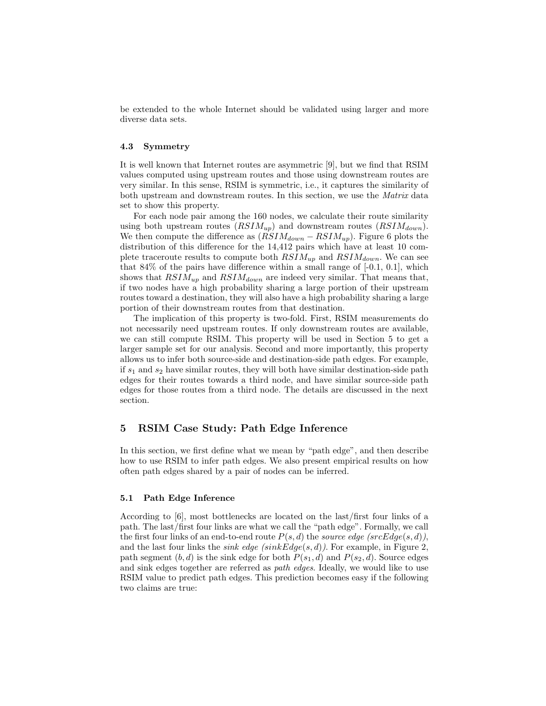be extended to the whole Internet should be validated using larger and more diverse data sets.

#### 4.3 Symmetry

It is well known that Internet routes are asymmetric [9], but we find that RSIM values computed using upstream routes and those using downstream routes are very similar. In this sense, RSIM is symmetric, i.e., it captures the similarity of both upstream and downstream routes. In this section, we use the Matrix data set to show this property.

For each node pair among the 160 nodes, we calculate their route similarity using both upstream routes  $(RSIM_{up})$  and downstream routes  $(RSIM_{down})$ . We then compute the difference as  $(RSIM_{down} - RSIM_{up})$ . Figure 6 plots the distribution of this difference for the 14,412 pairs which have at least 10 complete traceroute results to compute both  $RSIM_{up}$  and  $RSIM_{down}$ . We can see that  $84\%$  of the pairs have difference within a small range of  $[-0.1, 0.1]$ , which shows that  $RSIM_{up}$  and  $RSIM_{down}$  are indeed very similar. That means that, if two nodes have a high probability sharing a large portion of their upstream routes toward a destination, they will also have a high probability sharing a large portion of their downstream routes from that destination.

The implication of this property is two-fold. First, RSIM measurements do not necessarily need upstream routes. If only downstream routes are available, we can still compute RSIM. This property will be used in Section 5 to get a larger sample set for our analysis. Second and more importantly, this property allows us to infer both source-side and destination-side path edges. For example, if  $s_1$  and  $s_2$  have similar routes, they will both have similar destination-side path edges for their routes towards a third node, and have similar source-side path edges for those routes from a third node. The details are discussed in the next section.

## 5 RSIM Case Study: Path Edge Inference

In this section, we first define what we mean by "path edge", and then describe how to use RSIM to infer path edges. We also present empirical results on how often path edges shared by a pair of nodes can be inferred.

#### 5.1 Path Edge Inference

According to [6], most bottlenecks are located on the last/first four links of a path. The last/first four links are what we call the "path edge". Formally, we call the first four links of an end-to-end route  $P(s, d)$  the source edge (srcEdge(s, d)), and the last four links the *sink edge (sinkEdge(s,d))*. For example, in Figure 2, path segment  $(b, d)$  is the sink edge for both  $P(s_1, d)$  and  $P(s_2, d)$ . Source edges and sink edges together are referred as path edges. Ideally, we would like to use RSIM value to predict path edges. This prediction becomes easy if the following two claims are true: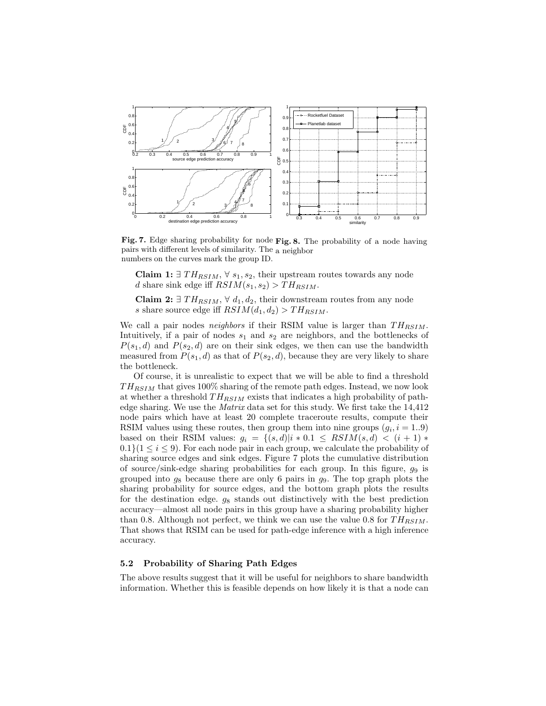

Fig. 7. Edge sharing probability for node Fig. 8. The probability of a node having pairs with different levels of similarity. The a neighbor numbers on the curves mark the group ID.

Claim 1: ∃  $TH_{RSIM}$ ,  $\forall s_1, s_2$ , their upstream routes towards any node d share sink edge iff  $RSIM(s_1, s_2) > TH_{RSIM}$ .

Claim 2: ∃  $TH_{RSIM}$ ,  $\forall d_1, d_2$ , their downstream routes from any node s share source edge iff  $RSIM(d_1, d_2) > TH_{RSIM}$ .

We call a pair nodes *neighbors* if their RSIM value is larger than  $TH_{RSIM}$ . Intuitively, if a pair of nodes  $s_1$  and  $s_2$  are neighbors, and the bottlenecks of  $P(s_1, d)$  and  $P(s_2, d)$  are on their sink edges, we then can use the bandwidth measured from  $P(s_1, d)$  as that of  $P(s_2, d)$ , because they are very likely to share the bottleneck.

Of course, it is unrealistic to expect that we will be able to find a threshold  $TH_{RSIM}$  that gives 100% sharing of the remote path edges. Instead, we now look at whether a threshold  $TH_{RSIM}$  exists that indicates a high probability of pathedge sharing. We use the Matrix data set for this study. We first take the 14,412 node pairs which have at least 20 complete traceroute results, compute their RSIM values using these routes, then group them into nine groups  $(g_i, i = 1..9)$ based on their RSIM values:  $g_i = \{(s, d)|i * 0.1 \leq RSIM(s, d) < (i + 1) *$  $0.1$ }( $1 \le i \le 9$ ). For each node pair in each group, we calculate the probability of sharing source edges and sink edges. Figure 7 plots the cumulative distribution of source/sink-edge sharing probabilities for each group. In this figure,  $g_9$  is grouped into  $g_8$  because there are only 6 pairs in  $g_9$ . The top graph plots the sharing probability for source edges, and the bottom graph plots the results for the destination edge.  $g_8$  stands out distinctively with the best prediction accuracy—almost all node pairs in this group have a sharing probability higher than 0.8. Although not perfect, we think we can use the value 0.8 for  $TH_{RSIM}$ . That shows that RSIM can be used for path-edge inference with a high inference accuracy.

## 5.2 Probability of Sharing Path Edges

The above results suggest that it will be useful for neighbors to share bandwidth information. Whether this is feasible depends on how likely it is that a node can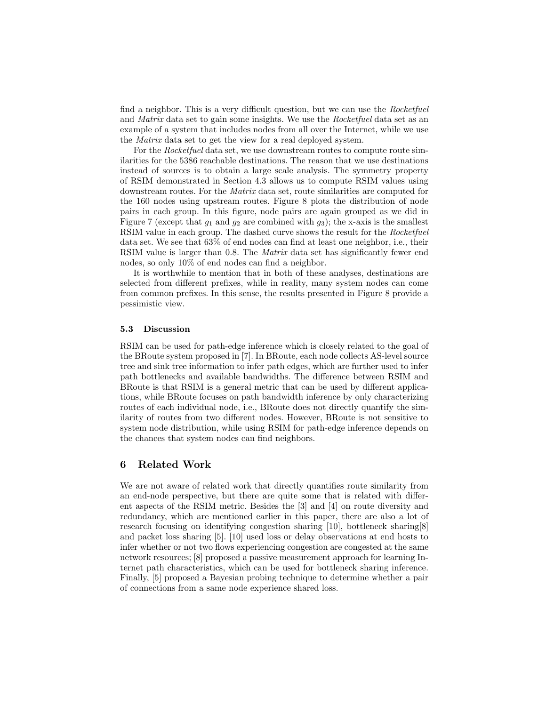find a neighbor. This is a very difficult question, but we can use the Rocketfuel and *Matrix* data set to gain some insights. We use the *Rocketfuel* data set as an example of a system that includes nodes from all over the Internet, while we use the Matrix data set to get the view for a real deployed system.

For the Rocketfuel data set, we use downstream routes to compute route similarities for the 5386 reachable destinations. The reason that we use destinations instead of sources is to obtain a large scale analysis. The symmetry property of RSIM demonstrated in Section 4.3 allows us to compute RSIM values using downstream routes. For the Matrix data set, route similarities are computed for the 160 nodes using upstream routes. Figure 8 plots the distribution of node pairs in each group. In this figure, node pairs are again grouped as we did in Figure 7 (except that  $g_1$  and  $g_2$  are combined with  $g_3$ ); the x-axis is the smallest RSIM value in each group. The dashed curve shows the result for the Rocketfuel data set. We see that 63% of end nodes can find at least one neighbor, i.e., their RSIM value is larger than 0.8. The Matrix data set has significantly fewer end nodes, so only 10% of end nodes can find a neighbor.

It is worthwhile to mention that in both of these analyses, destinations are selected from different prefixes, while in reality, many system nodes can come from common prefixes. In this sense, the results presented in Figure 8 provide a pessimistic view.

#### 5.3 Discussion

RSIM can be used for path-edge inference which is closely related to the goal of the BRoute system proposed in [7]. In BRoute, each node collects AS-level source tree and sink tree information to infer path edges, which are further used to infer path bottlenecks and available bandwidths. The difference between RSIM and BRoute is that RSIM is a general metric that can be used by different applications, while BRoute focuses on path bandwidth inference by only characterizing routes of each individual node, i.e., BRoute does not directly quantify the similarity of routes from two different nodes. However, BRoute is not sensitive to system node distribution, while using RSIM for path-edge inference depends on the chances that system nodes can find neighbors.

## 6 Related Work

We are not aware of related work that directly quantifies route similarity from an end-node perspective, but there are quite some that is related with different aspects of the RSIM metric. Besides the [3] and [4] on route diversity and redundancy, which are mentioned earlier in this paper, there are also a lot of research focusing on identifying congestion sharing [10], bottleneck sharing[8] and packet loss sharing [5]. [10] used loss or delay observations at end hosts to infer whether or not two flows experiencing congestion are congested at the same network resources; [8] proposed a passive measurement approach for learning Internet path characteristics, which can be used for bottleneck sharing inference. Finally, [5] proposed a Bayesian probing technique to determine whether a pair of connections from a same node experience shared loss.